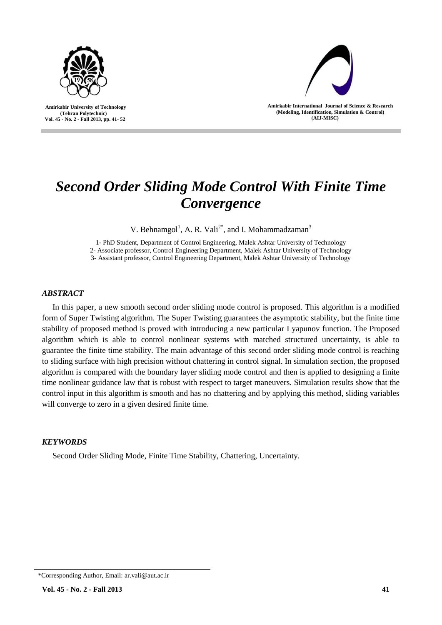



**Amirkabir International Journal of Science & Research (Modeling, Identification, Simulation & Control) )AIJ-MISC)**

I

# *Second Order Sliding Mode Control With Finite Time Convergence*

V. Behnamgol<sup>1</sup>, A. R. Vali<sup>2\*</sup>, and I. Mohammadzaman<sup>3</sup>

1- PhD Student, Department of Control Engineering, Malek Ashtar University of Technology

2- Associate professor, Control Engineering Department, Malek Ashtar University of Technology

3- Assistant professor, Control Engineering Department, Malek Ashtar University of Technology

# *ABSTRACT*

In this paper, a new smooth second order sliding mode control is proposed. This algorithm is a modified form of Super Twisting algorithm. The Super Twisting guarantees the asymptotic stability, but the finite time stability of proposed method is proved with introducing a new particular Lyapunov function. The Proposed algorithm which is able to control nonlinear systems with matched structured uncertainty, is able to guarantee the finite time stability. The main advantage of this second order sliding mode control is reaching to sliding surface with high precision without chattering in control signal. In simulation section, the proposed algorithm is compared with the boundary layer sliding mode control and then is applied to designing a finite time nonlinear guidance law that is robust with respect to target maneuvers. Simulation results show that the control input in this algorithm is smooth and has no chattering and by applying this method, sliding variables will converge to zero in a given desired finite time.

# *KEYWORDS*

Second Order Sliding Mode, Finite Time Stability, Chattering, Uncertainty.

<sup>\*</sup>Corresponding Author, Email: ar.vali@aut.ac.ir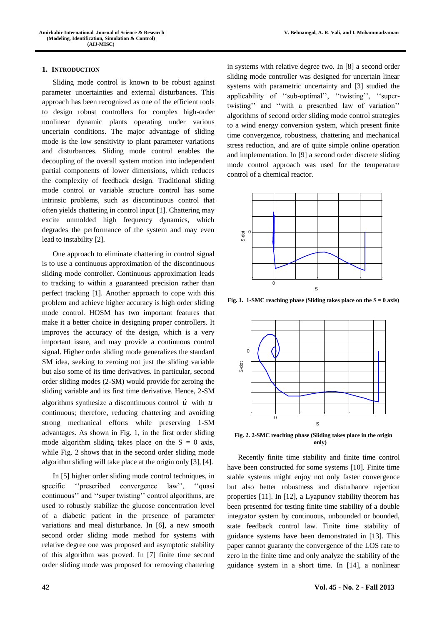# **1. INTRODUCTION**

Sliding mode control is known to be robust against parameter uncertainties and external disturbances. This approach has been recognized as one of the efficient tools to design robust controllers for complex high-order nonlinear dynamic plants operating under various uncertain conditions. The major advantage of sliding mode is the low sensitivity to plant parameter variations and disturbances. Sliding mode control enables the decoupling of the overall system motion into independent partial components of lower dimensions, which reduces the complexity of feedback design. Traditional sliding mode control or variable structure control has some intrinsic problems, such as discontinuous control that often yields chattering in control input [1]. Chattering may excite unmolded high frequency dynamics, which degrades the performance of the system and may even lead to instability [2].

One approach to eliminate chattering in control signal is to use a continuous approximation of the discontinuous sliding mode controller. Continuous approximation leads to tracking to within a guaranteed precision rather than perfect tracking [1]. Another approach to cope with this problem and achieve higher accuracy is high order sliding mode control. HOSM has two important features that make it a better choice in designing proper controllers. It improves the accuracy of the design, which is a very important issue, and may provide a continuous control signal. Higher order sliding mode generalizes the standard SM idea, seeking to zeroing not just the sliding variable but also some of its time derivatives. In particular, second order sliding modes (2-SM) would provide for zeroing the sliding variable and its first time derivative. Hence, 2-SM algorithms synthesize a discontinuous control  $\vec{u}$  with  $\vec{u}$ continuous; therefore, reducing chattering and avoiding strong mechanical efforts while preserving 1-SM advantages. As shown in Fig. 1, in the first order sliding mode algorithm sliding takes place on the  $S = 0$  axis, while Fig. 2 shows that in the second order sliding mode algorithm sliding will take place at the origin only [3], [4].

In [5] higher order sliding mode control techniques, in specific ''prescribed convergence law'', ''quasi continuous'' and ''super twisting'' control algorithms, are used to robustly stabilize the glucose concentration level of a diabetic patient in the presence of parameter variations and meal disturbance. In [6], a new smooth second order sliding mode method for systems with relative degree one was proposed and asymptotic stability of this algorithm was proved. In [7] finite time second order sliding mode was proposed for removing chattering

in systems with relative degree two. In [8] a second order sliding mode controller was designed for uncertain linear systems with parametric uncertainty and [3] studied the applicability of "sub-optimal", "twisting", "supertwisting'' and ''with a prescribed law of variation'' algorithms of second order sliding mode control strategies to a wind energy conversion system, which present finite time convergence, robustness, chattering and mechanical stress reduction, and are of quite simple online operation and implementation. In [9] a second order discrete sliding mode control approach was used for the temperature control of a chemical reactor.



**Fig. 1. 1-SMC** reaching phase (Sliding takes place on the  $S = 0$  axis)



**Fig. 2. 2-SMC reaching phase (Sliding takes place in the origin only)** 

Recently finite time stability and finite time control have been constructed for some systems [10]. Finite time stable systems might enjoy not only faster convergence but also better robustness and disturbance rejection properties [11]. In [12], a Lyapunov stability theorem has been presented for testing finite time stability of a double integrator system by continuous, unbounded or bounded, state feedback control law. Finite time stability of guidance systems have been demonstrated in [13]. This paper cannot guaranty the convergence of the LOS rate to zero in the finite time and only analyze the stability of the guidance system in a short time. In [14], a nonlinear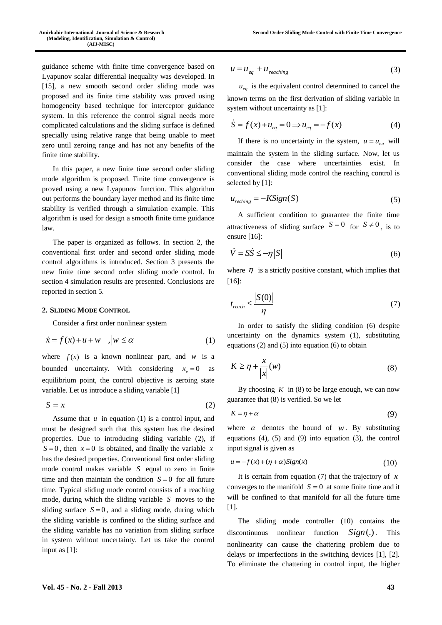guidance scheme with finite time convergence based on Lyapunov scalar differential inequality was developed. In [15], a new smooth second order sliding mode was proposed and its finite time stability was proved using homogeneity based technique for interceptor guidance system. In this reference the control signal needs more complicated calculations and the sliding surface is defined specially using relative range that being unable to meet zero until zeroing range and has not any benefits of the finite time stability.

In this paper, a new finite time second order sliding mode algorithm is proposed. Finite time convergence is proved using a new Lyapunov function. This algorithm out performs the boundary layer method and its finite time stability is verified through a simulation example. This algorithm is used for design a smooth finite time guidance law.

The paper is organized as follows. In section 2, the conventional first order and second order sliding mode control algorithms is introduced. Section 3 presents the new finite time second order sliding mode control. In section 4 simulation results are presented. Conclusions are reported in section 5.

#### **2. SLIDING MODE CONTROL**

Consider a first order nonlinear system

$$
\dot{x} = f(x) + u + w \quad , |w| \le \alpha \tag{1}
$$

where  $f(x)$  is a known nonlinear part, and w is a bounded uncertainty. With considering  $x_e = 0$  as equilibrium point, the control objective is zeroing state variable. Let us introduce a sliding variable [1]

 $S = x$ (2)

Assume that  $u$  in equation  $(1)$  is a control input, and must be designed such that this system has the desired properties. Due to introducing sliding variable (2), if  $S = 0$ , then  $x = 0$  is obtained, and finally the variable x has the desired properties. Conventional first order sliding mode control makes variable *S* equal to zero in finite time and then maintain the condition  $S = 0$  for all future time. Typical sliding mode control consists of a reaching mode, during which the sliding variable *S* moves to the sliding surface  $S = 0$ , and a sliding mode, during which the sliding variable is confined to the sliding surface and the sliding variable has no variation from sliding surface in system without uncertainty. Let us take the control input as [1]:

$$
u = u_{eq} + u_{reaching} \tag{3}
$$

 $u_{eq}$  is the equivalent control determined to cancel the known terms on the first derivation of sliding variable in system without uncertainty as [1]:

$$
\dot{S} = f(x) + u_{eq} = 0 \implies u_{eq} = -f(x)
$$
 (4)

If there is no uncertainty in the system,  $u = u_{eq}$  will maintain the system in the sliding surface. Now, let us consider the case where uncertainties exist. In conventional sliding mode control the reaching control is selected by [1]:

$$
u_{reching} = -KSign(S)
$$
 (5)

A sufficient condition to guarantee the finite time attractiveness of sliding surface  $S = 0$  for  $S \neq 0$ , is to ensure [16]:

$$
\dot{V} = S\dot{S} \le -\eta |S| \tag{6}
$$

where  $\eta$  is a strictly positive constant, which implies that [16]:

$$
t_{reach} \le \frac{|S(0)|}{\eta} \tag{7}
$$

In order to satisfy the sliding condition (6) despite uncertainty on the dynamics system (1), substituting equations (2) and (5) into equation (6) to obtain

$$
K \ge \eta + \frac{x}{|x|}(w) \tag{8}
$$

By choosing  $K$  in (8) to be large enough, we can now guarantee that (8) is verified. So we let

$$
K = \eta + \alpha \tag{9}
$$

where  $\alpha$  denotes the bound of  $w$ . By substituting equations (4), (5) and (9) into equation (3), the control input signal is given as

$$
u = -f(x) + (\eta + \alpha)Sign(x)
$$
 (10)

It is certain from equation (7) that the trajectory of *x* converges to the manifold  $S = 0$  at some finite time and it will be confined to that manifold for all the future time [1].

The sliding mode controller (10) contains the discontinuous nonlinear function *Sign*(.). This nonlinearity can cause the chattering problem due to delays or imperfections in the switching devices [1], [2]. To eliminate the chattering in control input, the higher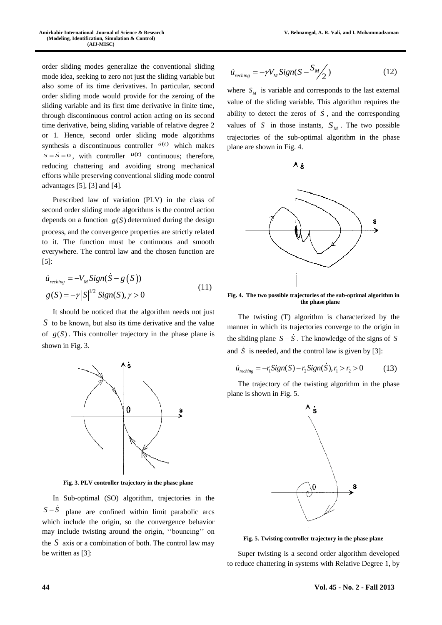order sliding modes generalize the conventional sliding mode idea, seeking to zero not just the sliding variable but also some of its time derivatives. In particular, second order sliding mode would provide for the zeroing of the sliding variable and its first time derivative in finite time, through discontinuous control action acting on its second time derivative, being sliding variable of relative degree 2 or 1. Hence, second order sliding mode algorithms synthesis a discontinuous controller  $\dot{u}(t)$  which makes  $S = \dot{S} = 0$ , with controller  $u(t)$  continuous; therefore, reducing chattering and avoiding strong mechanical efforts while preserving conventional sliding mode control advantages [5], [3] and [4].

Prescribed law of variation (PLV) in the class of second order sliding mode algorithms is the control action depends on a function  $g(S)$  determined during the design process, and the convergence properties are strictly related to it. The function must be continuous and smooth everywhere. The control law and the chosen function are [5]:

$$
\dot{u}_{reching} = -V_M Sign(\dot{S} - g(S))
$$
  
 
$$
g(S) = -\gamma |S|^{1/2} Sign(S), \gamma > 0
$$
 (11)

It should be noticed that the algorithm needs not just *S* to be known, but also its time derivative and the value of  $g(S)$ . This controller trajectory in the phase plane is shown in Fig. 3.



**Fig. 3. PLV controller trajectory in the phase plane**

In Sub-optimal (SO) algorithm, trajectories in the  $S - \dot{S}$  plane are confined within limit parabolic arcs which include the origin, so the convergence behavior may include twisting around the origin, ''bouncing'' on the  $S$  axis or a combination of both. The control law may be written as [3]:

$$
\dot{u}_{reching} = -\gamma V_M \text{Sign}(S - \frac{S_M}{2})
$$
\n(12)

where  $S_M$  is variable and corresponds to the last external value of the sliding variable. This algorithm requires the ability to detect the zeros of  $\dot{S}$ , and the corresponding values of  $S$  in those instants,  $S_M$ . The two possible trajectories of the sub-optimal algorithm in the phase plane are shown in Fig. 4.



**Fig. 4. The two possible trajectories of the sub-optimal algorithm in the phase plane**

The twisting (T) algorithm is characterized by the manner in which its trajectories converge to the origin in the sliding plane  $S - \dot{S}$ . The knowledge of the signs of S and  $\dot{S}$  is needed, and the control law is given by [3]:<br>  $\dot{u}_{reching} = -r_1 Sign(S) - r_2Sign(\dot{S}), r_1 > r_2 > 0$ 

$$
\dot{u}_{reching} = -r_1 \text{Sign}(S) - r_2 \text{Sign}(S), r_1 > r_2 > 0 \tag{13}
$$

The trajectory of the twisting algorithm in the phase plane is shown in Fig. 5.



**Fig. 5. Twisting controller trajectory in the phase plane**

Super twisting is a second order algorithm developed to reduce chattering in systems with Relative Degree 1, by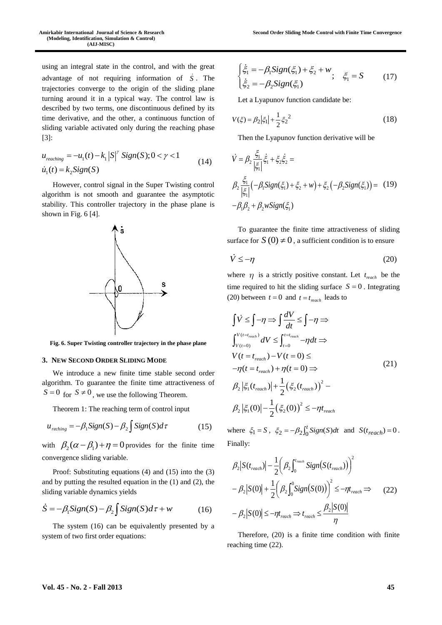using an integral state in the control, and with the great advantage of not requiring information of *S* . The trajectories converge to the origin of the sliding plane turning around it in a typical way. The control law is described by two terms, one discontinuous defined by its time derivative, and the other, a continuous function of sliding variable activated only during the reaching phase [3]:

$$
u_{reaching} = -u_1(t) - k_1 |S|^{\gamma} \text{Sign}(S); 0 < \gamma < 1
$$
  
\n
$$
\dot{u}_1(t) = k_2 \text{Sign}(S) \tag{14}
$$

However, control signal in the Super Twisting control algorithm is not smooth and guarantee the asymptotic stability. This controller trajectory in the phase plane is shown in Fig. 6 [4].



**Fig. 6. Super Twisting controller trajectory in the phase plane**

#### **3. NEW SECOND ORDER SLIDING MODE**

We introduce a new finite time stable second order algorithm. To guarantee the finite time attractiveness of  $S = 0$  for  $S \neq 0$ , we use the following Theorem.

Theorem 1: The reaching term of control input

$$
u_{reching} = -\beta_1 Sign(S) - \beta_2 \int Sign(S)d\tau
$$
 (15)

with  $\beta_2(\alpha - \beta_1) + \eta = 0$  provides for the finite time convergence sliding variable.

Proof: Substituting equations (4) and (15) into the (3) and by putting the resulted equation in the (1) and (2), the sliding variable dynamics yields

$$
\dot{S} = -\beta_1 Sign(S) - \beta_2 \int Sign(S)d\tau + w \tag{16}
$$

The system (16) can be equivalently presented by a system of two first order equations:

$$
\begin{cases}\n\dot{\xi}_1 = -\beta_1 \text{Sign}(\xi_1) + \xi_2 + w, & \xi_1 = S \tag{17} \\
\dot{\xi}_2 = -\beta_2 \text{Sign}(\xi_1)\n\end{cases}
$$

Let a Lyapunov function candidate be:

$$
V(\xi) = \beta_2 |\xi_1| + \frac{1}{2} \xi_2^2 \tag{18}
$$

Then the Lyapunov function derivative will be

$$
\dot{V} = \beta_2 \frac{\xi_1}{|\xi_1|} \dot{\xi}_1 + \xi_2 \dot{\xi}_2 =
$$
\n
$$
\beta_2 \frac{\xi_1}{|\xi_1|} (-\beta_1 \text{Sign}(\xi_1) + \xi_2 + w) + \xi_2 (-\beta_2 \text{Sign}(\xi_1)) = (19)
$$
\n
$$
-\beta_1 \beta_2 + \beta_2 w \text{Sign}(\xi_1)
$$

To guarantee the finite time attractiveness of sliding surface for  $S(0) \neq 0$ , a sufficient condition is to ensure

$$
\dot{V} \le -\eta \tag{20}
$$

where  $\eta$  is a strictly positive constant. Let  $t_{reach}$  be the time required to hit the sliding surface  $S = 0$ . Integrating (20) between  $t = 0$  and  $t = t_{reach}$  leads to

$$
\int \dot{V} \leq \int -\eta \Rightarrow \int \frac{dV}{dt} \leq \int -\eta \Rightarrow
$$
\n
$$
\int_{V(t=0)}^{V(t= t_{reach})} dV \leq \int_{t=0}^{t=t_{reach}} -\eta dt \Rightarrow
$$
\n
$$
V(t = t_{reach}) - V(t = 0) \leq
$$
\n
$$
-\eta(t = t_{reach}) + \eta(t = 0) \Rightarrow
$$
\n
$$
\beta_2 \left| \xi_1(t_{reach}) \right| + \frac{1}{2} \left( \xi_2(t_{reach}) \right)^2 -
$$
\n
$$
\beta_2 \left| \xi_1(0) \right| - \frac{1}{2} \left( \xi_2(0) \right)^2 \leq -\eta t_{reach}
$$
\n(21)

where  $\xi_1 = S$ ,  $\xi_2 = -\beta_2 \int_0^t Sign(S)dt$  and  $S(t_{reach}) = 0$ . Finally:

$$
\beta_2 |S(t_{reach})| - \frac{1}{2} \left( \beta_2 \int_0^{t_{reach}} Sign(S(t_{reach})) \right)^2
$$
  

$$
- \beta_2 |S(0)| + \frac{1}{2} \left( \beta_2 \int_0^0 Sign(S(0)) \right)^2 \le -\eta t_{reach} \Rightarrow (22)
$$
  

$$
- \beta_2 |S(0)| \le -\eta t_{reach} \Rightarrow t_{reach} \le \frac{\beta_2 |S(0)|}{\eta}
$$

Therefore, (20) is a finite time condition with finite reaching time (22).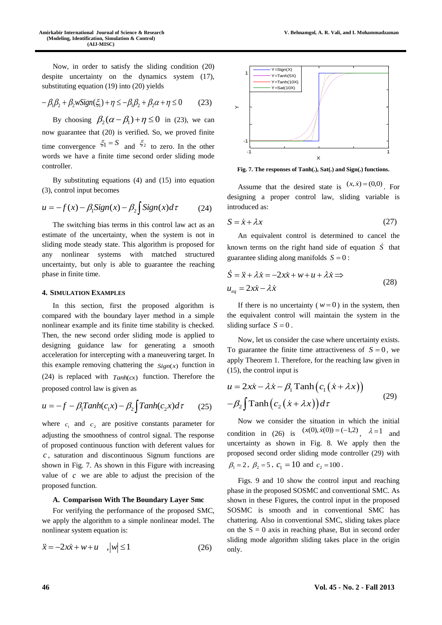Now, in order to satisfy the sliding condition (20) despite uncertainty on the dynamics system (17), substituting equation (19) into (20) yields

$$
-\beta_1\beta_2 + \beta_2 wSign(\xi_1) + \eta \le -\beta_1\beta_2 + \beta_2\alpha + \eta \le 0 \tag{23}
$$

By choosing  $\beta_2(\alpha - \beta_1) + \eta \le 0$  in (23), we can now guarantee that (20) is verified. So, we proved finite time convergence  $\xi_1 = S$  and  $\xi_2$  to zero. In the other words we have a finite time second order sliding mode controller.

By substituting equations (4) and (15) into equation (3), control input becomes

$$
u = -f(x) - \beta_1 \text{Sign}(x) - \beta_2 \int \text{Sign}(x) d\tau \tag{24}
$$

The switching bias terms in this control law act as an estimate of the uncertainty, when the system is not in sliding mode steady state. This algorithm is proposed for any nonlinear systems with matched structured uncertainty, but only is able to guarantee the reaching phase in finite time.

#### **4. SIMULATION EXAMPLES**

In this section, first the proposed algorithm is compared with the boundary layer method in a simple nonlinear example and its finite time stability is checked. Then, the new second order sliding mode is applied to designing guidance law for generating a smooth acceleration for intercepting with a maneuvering target. In this example removing chattering the  $Sign(x)$  function in (24) is replaced with  $Tanh(cx)$  function. Therefore the proposed control law is given as

$$
u = -f - \beta_1 \tanh(c_1 x) - \beta_2 \int \tanh(c_2 x) d\tau \qquad (25)
$$

where  $c_1$  and  $c_2$  are positive constants parameter for adjusting the smoothness of control signal. The response of proposed continuous function with deferent values for *c* , saturation and discontinuous Signum functions are shown in Fig. 7. As shown in this Figure with increasing value of  $c$  we are able to adjust the precision of the proposed function.

## **A. Comparison With The Boundary Layer Smc**

For verifying the performance of the proposed SMC, we apply the algorithm to a simple nonlinear model. The nonlinear system equation is:

$$
\ddot{x} = -2x\dot{x} + w + u \quad , |\omega| \le 1 \tag{26}
$$



**Fig. 7. The responses of Tanh(.), Sat(.) and Sign(.) functions.** 

Assume that the desired state is  $(x, \dot{x}) = (0,0)$ . For designing a proper control law, sliding variable is introduced as:

$$
S = \dot{x} + \lambda x \tag{27}
$$

An equivalent control is determined to cancel the known terms on the right hand side of equation  $\dot{S}$  that guarantee sliding along manifolds  $S = 0$ :

$$
\dot{S} = \ddot{x} + \lambda \dot{x} = -2x\dot{x} + w + u + \lambda \dot{x} \implies
$$
  

$$
u_{eq} = 2x\dot{x} - \lambda \dot{x}
$$
 (28)

If there is no uncertainty ( $w = 0$ ) in the system, then the equivalent control will maintain the system in the sliding surface  $S = 0$ .

Now, let us consider the case where uncertainty exists. To guarantee the finite time attractiveness of  $S = 0$ , we apply Theorem 1. Therefore, for the reaching law given in (15), the control input is

$$
u = 2x\dot{x} - \lambda \dot{x} - \beta_1 \operatorname{Tanh}(c_1(\dot{x} + \lambda x))
$$
  
-
$$
\beta_2 \int \operatorname{Tanh}(c_2(\dot{x} + \lambda x)) d\tau
$$
 (29)

Now we consider the situation in which the initial condition in (26) is  $(x(0), \dot{x}(0)) = (-1,2)$ ,  $\lambda = 1$  and uncertainty as shown in Fig. 8. We apply then the proposed second order sliding mode controller (29) with  $\beta_1 = 2$ ,  $\beta_2 = 5$ ,  $c_1 = 10$  and  $c_2 = 100$ .

Figs. 9 and 10 show the control input and reaching phase in the proposed SOSMC and conventional SMC. As shown in these Figures, the control input in the proposed SOSMC is smooth and in conventional SMC has chattering. Also in conventional SMC, sliding takes place on the  $S = 0$  axis in reaching phase, But in second order sliding mode algorithm sliding takes place in the origin only.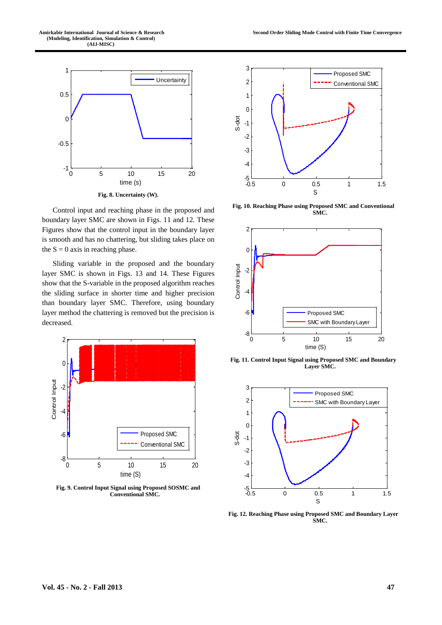



Control input and reaching phase in the proposed and boundary layer SMC are shown in Figs. 11 and 12. These Figures show that the control input in the boundary layer is smooth and has no chattering, but sliding takes place on the  $S = 0$  axis in reaching phase.

Sliding variable in the proposed and the boundary layer SMC is shown in Figs. 13 and 14. These Figures show that the S-variable in the proposed algorithm reaches the sliding surface in shorter time and higher precision than boundary layer SMC. Therefore, using boundary layer method the chattering is removed but the precision is decreased.



**Fig. 9. Control Input Signal using Proposed SOSMC and Conventional SMC.**



**Fig. 10. Reaching Phase using Proposed SMC and Conventional SMC.**



**Fig. 11. Control Input Signal using Proposed SMC and Boundary Layer SMC.**



**Fig. 12. Reaching Phase using Proposed SMC and Boundary Layer SMC.**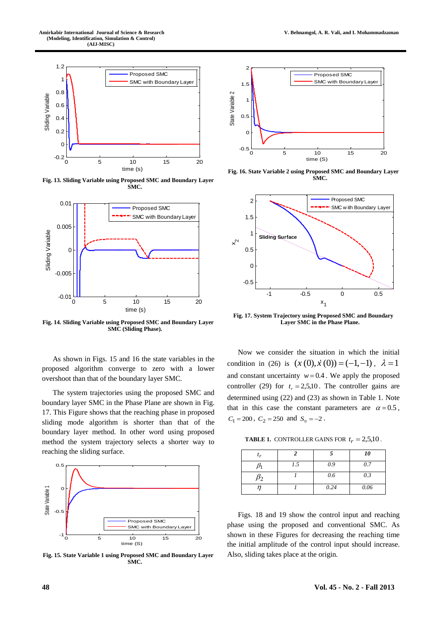

**Fig. 13. Sliding Variable using Proposed SMC and Boundary Layer SMC.**



**Fig. 14. Sliding Variable using Proposed SMC and Boundary Layer SMC (Sliding Phase).**

As shown in Figs. 15 and 16 the state variables in the proposed algorithm converge to zero with a lower overshoot than that of the boundary layer SMC.

The system trajectories using the proposed SMC and boundary layer SMC in the Phase Plane are shown in Fig. 17. This Figure shows that the reaching phase in proposed sliding mode algorithm is shorter than that of the boundary layer method. In other word using proposed method the system trajectory selects a shorter way to reaching the sliding surface.



**Fig. 15. State Variable 1 using Proposed SMC and Boundary Layer SMC.**



**Fig. 16. State Variable 2 using Proposed SMC and Boundary Layer SMC.**



**Fig. 17. System Trajectory using Proposed SMC and Boundary Layer SMC in the Phase Plane.**

Now we consider the situation in which the initial condition in (26) is  $(x(0), \dot{x}(0)) = (-1, -1)$ ,  $\lambda = 1$ and constant uncertainty  $w = 0.4$ . We apply the proposed controller (29) for  $t_r = 2,5,10$ . The controller gains are determined using (22) and (23) as shown in Table 1. Note that in this case the constant parameters are  $\alpha = 0.5$ ,  $C_1 = 200, C_2 = 250 \text{ and } S_0 = -2.$ 

**TABLE 1.** CONTROLLER GAINS FOR  $t_r = 2,5,10$ .

|     |      | 10   |
|-----|------|------|
| 1.5 | 0.9  | 0.7  |
|     | 0.6  | 0.3  |
|     | 0.24 | 0.06 |

Figs. 18 and 19 show the control input and reaching phase using the proposed and conventional SMC. As shown in these Figures for decreasing the reaching time the initial amplitude of the control input should increase. Also, sliding takes place at the origin.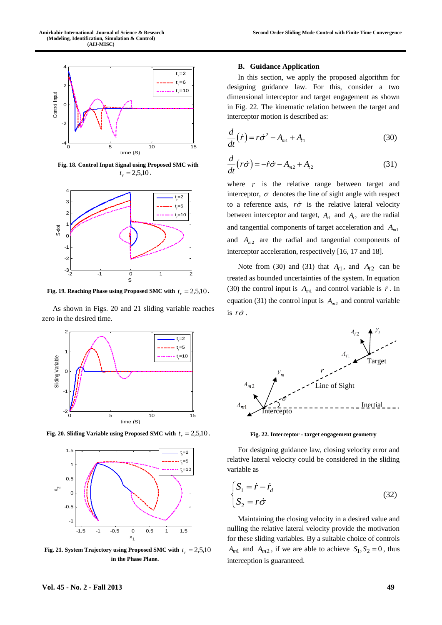

**Fig. 18. Control Input Signal using Proposed SMC with**   $t_r = 2{,}5{,}10$ .



Fig. 19. Reaching Phase using Proposed SMC with  $t_r = 2{,}5{,}10$ .

As shown in Figs. 20 and 21 sliding variable reaches zero in the desired time.



Fig. 20. Sliding Variable using Proposed SMC with  $t_r = 2{,}5{,}10$ .



Fig. 21. System Trajectory using Proposed SMC with  $t_r = 2,5,10$ **in the Phase Plane.**

#### **Second Order Sliding Mode Control with Finite Time Convergence**

#### **B. Guidance Application**

In this section, we apply the proposed algorithm for designing guidance law. For this, consider a two dimensional interceptor and target engagement as shown in Fig. 22. The kinematic relation between the target and interceptor motion is described as:

$$
\frac{d}{dt}\left(\dot{r}\right) = r\dot{\sigma}^2 - A_{m1} + A_{l1} \tag{30}
$$

$$
\frac{d}{dt}\left(r\dot{\sigma}\right) = -\dot{r}\dot{\sigma} - A_{m2} + A_{r2} \tag{31}
$$

where  $r$  is the relative range between target and interceptor,  $\sigma$  denotes the line of sight angle with respect to a reference axis,  $r\dot{\sigma}$  is the relative lateral velocity between interceptor and target,  $A_{t1}$  and  $A_{t2}$  are the radial and tangential components of target acceleration and *Am*<sup>1</sup> and  $A_{m2}$  are the radial and tangential components of interceptor acceleration, respectively [16, 17 and 18].

Note from (30) and (31) that  $A_{t1}$ , and  $A_{t2}$  can be treated as bounded uncertainties of the system. In equation (30) the control input is  $A_{m1}$  and control variable is  $\dot{r}$ . In equation (31) the control input is  $A_{m2}$  and control variable is  $r\dot{\sigma}$ .



**Fig. 22. Interceptor - target engagement geometry**

For designing guidance law, closing velocity error and relative lateral velocity could be considered in the sliding variable as

$$
\begin{cases}\nS_1 = \dot{r} - \dot{r}_d \\
S_2 = r\dot{\sigma}\n\end{cases}
$$
\n(32)

Maintaining the closing velocity in a desired value and nulling the relative lateral velocity provide the motivation for these sliding variables. By a suitable choice of controls  $A_{m1}$  and  $A_{m2}$ , if we are able to achieve  $S_1$ ,  $S_2 = 0$ , thus interception is guaranteed.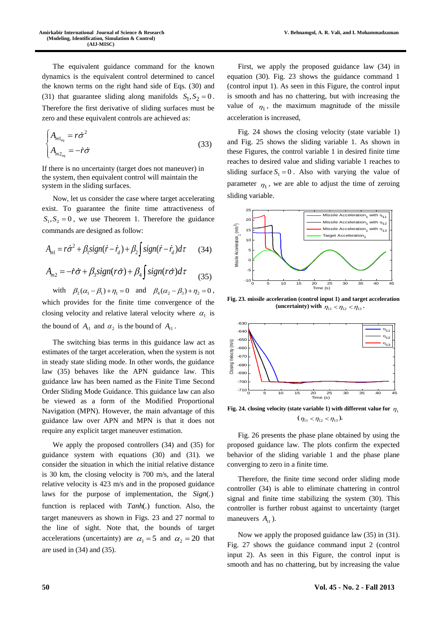The equivalent guidance command for the known dynamics is the equivalent control determined to cancel the known terms on the right hand side of Eqs. (30) and (31) that guarantee sliding along manifolds  $S_1$ ,  $S_2 = 0$ . Therefore the first derivative of sliding surfaces must be zero and these equivalent controls are achieved as:

$$
\begin{cases}\nA_{m1_{eq}} = r\dot{\sigma}^2 \\
A_{m2_{eq}} = -\dot{r}\dot{\sigma}\n\end{cases}
$$
\n(33)

If there is no uncertainty (target does not maneuver) in the system, then equivalent control will maintain the system in the sliding surfaces.

Now, let us consider the case where target accelerating exist. To guarantee the finite time attractiveness of  $S_1$ ,  $S_2$  = 0, we use Theorem 1. Therefore the guidance commands are designed as follow:

$$
A_{m1} = r\dot{\sigma}^2 + \beta_1 sign(\dot{r} - \dot{r}_d) + \beta_2 \int sign(\dot{r} - \dot{r}_d) d\tau
$$
 (34)  

$$
A_{m2} = -\dot{r}\dot{\sigma} + \beta_3 sign(r\dot{\sigma}) + \beta_4 \int sign(r\dot{\sigma}) d\tau
$$
 (35)

with  $\beta_2(\alpha_1 - \beta_1) + \eta_1 = 0$  and  $\beta_4(\alpha_2 - \beta_3) + \eta_2 = 0$ , which provides for the finite time convergence of the closing velocity and relative lateral velocity where  $\alpha_1$  is the bound of  $A_{t_1}$  and  $\alpha_2$  is the bound of  $A_{t_1}$ .

The switching bias terms in this guidance law act as estimates of the target acceleration, when the system is not in steady state sliding mode. In other words, the guidance law (35) behaves like the APN guidance law. This guidance law has been named as the Finite Time Second Order Sliding Mode Guidance. This guidance law can also be viewed as a form of the Modified Proportional Navigation (MPN). However, the main advantage of this guidance law over APN and MPN is that it does not require any explicit target maneuver estimation.

We apply the proposed controllers (34) and (35) for guidance system with equations (30) and (31). we consider the situation in which the initial relative distance is 30 km, the closing velocity is 700 m/s, and the lateral relative velocity is 423 m/s and in the proposed guidance laws for the purpose of implementation, the *Sign*(.) function is replaced with *Tanh*(.) function. Also, the target maneuvers as shown in Figs. 23 and 27 normal to the line of sight. Note that, the bounds of target accelerations (uncertainty) are  $\alpha_1 = 5$  and  $\alpha_2 = 20$  that are used in (34) and (35).

First, we apply the proposed guidance law (34) in equation (30). Fig. 23 shows the guidance command 1 (control input 1). As seen in this Figure, the control input is smooth and has no chattering, but with increasing the value of  $\eta_1$ , the maximum magnitude of the missile acceleration is increased,

Fig. 24 shows the closing velocity (state variable 1) and Fig. 25 shows the sliding variable 1. As shown in these Figures, the control variable 1 in desired finite time reaches to desired value and sliding variable 1 reaches to sliding surface  $S_1 = 0$ . Also with varying the value of parameter  $\eta_1$ , we are able to adjust the time of zeroing sliding variable.



**Fig. 23. missile acceleration (control input 1) and target acceleration**  (**uncertainty**) with  $\eta_{11} < \eta_{12} < \eta_{13}$ .



Fig. 24. closing velocity (state variable 1) with different value for  $\eta_1$  $(\eta_{11} < \eta_{12} < \eta_{13})$ .

Fig. 26 presents the phase plane obtained by using the proposed guidance law. The plots confirm the expected behavior of the sliding variable 1 and the phase plane converging to zero in a finite time.

Therefore, the finite time second order sliding mode controller (34) is able to eliminate chattering in control signal and finite time stabilizing the system (30). This controller is further robust against to uncertainty (target maneuvers  $A_{t1}$ ).

Now we apply the proposed guidance law (35) in (31). Fig. 27 shows the guidance command input 2 (control input 2). As seen in this Figure, the control input is smooth and has no chattering, but by increasing the value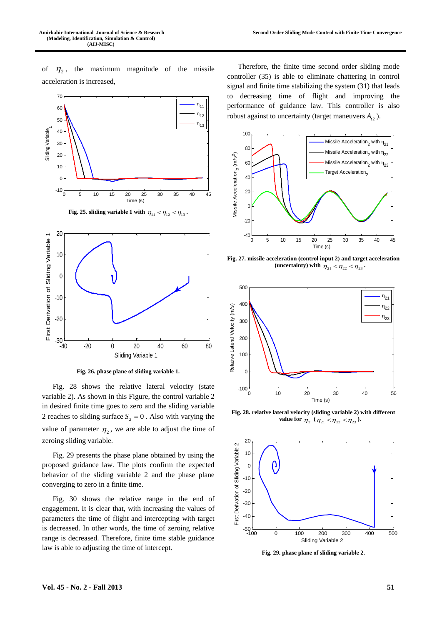of  $\eta_2$ , the maximum magnitude of the missile acceleration is increased,



**Fig. 26. phase plane of sliding variable 1.**

Fig. 28 shows the relative lateral velocity (state variable 2). As shown in this Figure, the control variable 2 in desired finite time goes to zero and the sliding variable 2 reaches to sliding surface  $S_2 = 0$ . Also with varying the value of parameter  $\eta_2$ , we are able to adjust the time of zeroing sliding variable.

Fig. 29 presents the phase plane obtained by using the proposed guidance law. The plots confirm the expected behavior of the sliding variable 2 and the phase plane converging to zero in a finite time.

Fig. 30 shows the relative range in the end of engagement. It is clear that, with increasing the values of parameters the time of flight and intercepting with target is decreased. In other words, the time of zeroing relative range is decreased. Therefore, finite time stable guidance law is able to adjusting the time of intercept.

Therefore, the finite time second order sliding mode controller (35) is able to eliminate chattering in control signal and finite time stabilizing the system (31) that leads to decreasing time of flight and improving the performance of guidance law. This controller is also robust against to uncertainty (target maneuvers  $A_{t2}$ ).



**Fig. 27. missile acceleration (control input 2) and target acceleration**  (**uncertainty**) with  $\eta_{21} < \eta_{22} < \eta_{23}$ .



**Fig. 28. relative lateral velocity (sliding variable 2) with different value for**  $\eta_2$  ( $\eta_{21} < \eta_{22} < \eta_{23}$ ).



**Fig. 29. phase plane of sliding variable 2.**